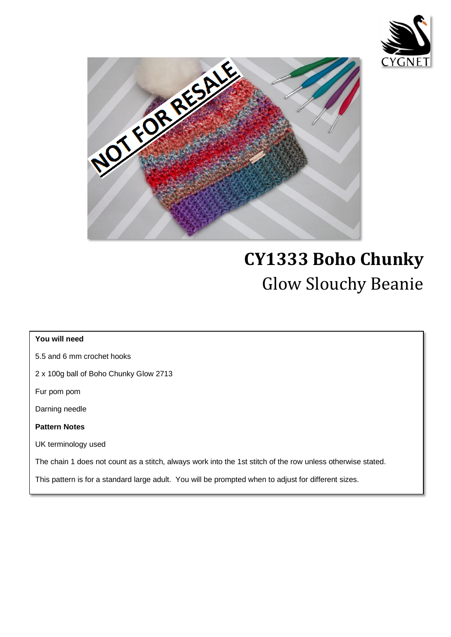

I

I

I

I

I

I

I



# **CY1333 Boho Chunky**  Glow Slouchy Beanie

## **You will need** 5.5 and 6 mm crochet hooks 2 x 100g ball of Boho Chunky Glow 2713 Fur pom pom Darning needle **Pattern Notes** UK terminology used The chain 1 does not count as a stitch, always work into the 1st stitch of the row unless otherwise stated. This pattern is for a standard large adult. You will be prompted when to adjust for different sizes.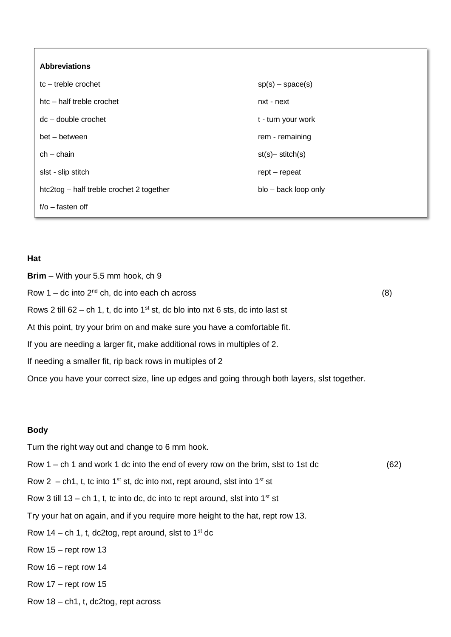| <b>Abbreviations</b>                     |                        |
|------------------------------------------|------------------------|
| tc-treble crochet                        | $sp(s)$ – space(s)     |
| htc - half treble crochet                | nxt - next             |
| $dc - double crochet$                    | t - turn your work     |
| bet – between                            | rem - remaining        |
| $ch - chain$                             | $st(s)$ - stitch $(s)$ |
| slst - slip stitch                       | $rept-repeat$          |
| htc2tog - half treble crochet 2 together | blo - back loop only   |
| $f/O - fasten off$                       |                        |

#### **Hat**

**Brim** – With your 5.5 mm hook, ch 9 Row  $1 -$  dc into  $2^{nd}$  ch, dc into each ch across (8) Rows 2 till 62 – ch 1, t, dc into  $1<sup>st</sup>$  st, dc blo into nxt 6 sts, dc into last st At this point, try your brim on and make sure you have a comfortable fit. If you are needing a larger fit, make additional rows in multiples of 2. If needing a smaller fit, rip back rows in multiples of 2 Once you have your correct size, line up edges and going through both layers, slst together.

#### **Body**

Turn the right way out and change to 6 mm hook. Row 1 – ch 1 and work 1 dc into the end of every row on the brim, slst to 1st dc (62) Row 2 – ch1, t, tc into 1<sup>st</sup> st, dc into nxt, rept around, slst into 1<sup>st</sup> st Row 3 till 13 – ch 1, t, tc into dc, dc into tc rept around, slst into  $1<sup>st</sup>$  st Try your hat on again, and if you require more height to the hat, rept row 13. Row 14 – ch 1, t, dc2tog, rept around, slst to  $1<sup>st</sup>$  dc Row 15 – rept row 13 Row 16 – rept row 14 Row 17 – rept row 15 Row 18 – ch1, t, dc2tog, rept across